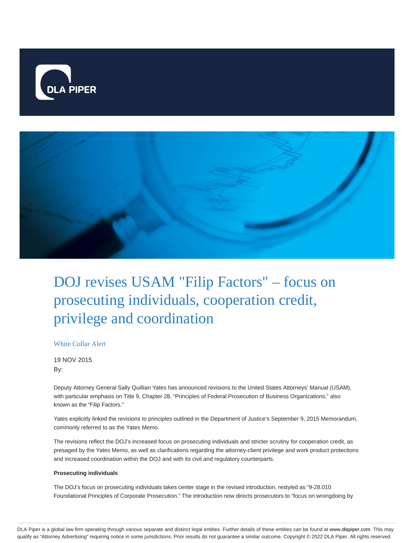



# DOJ revises USAM "Filip Factors" – focus on prosecuting individuals, cooperation credit, privilege and coordination

## White Collar Alert

19 NOV 2015 By:

Deputy Attorney General Sally Quillian Yates has announced revisions to the United States Attorneys' Manual (USAM), with particular emphasis on Title 9, Chapter 28, "Principles of Federal Prosecution of Business Organizations," also known as the "Filip Factors."

Yates explicitly linked the revisions to principles outlined in the Department of Justice's September 9, 2015 Memorandum, commonly referred to as the Yates Memo.

The revisions reflect the DOJ's increased focus on prosecuting individuals and stricter scrutiny for cooperation credit, as presaged by the Yates Memo, as well as clarifications regarding the attorney-client privilege and work product protections and increased coordination within the DOJ and with its civil and regulatory counterparts.

## **Prosecuting individuals**

The DOJ's focus on prosecuting individuals takes center stage in the revised introduction, restyled as "9-28.010 Foundational Principles of Corporate Prosecution." The introduction now directs prosecutors to "focus on wrongdoing by

DLA Piper is a global law firm operating through various separate and distinct legal entities. Further details of these entities can be found at www.dlapiper.com. This may qualify as "Attorney Advertising" requiring notice in some jurisdictions. Prior results do not guarantee a similar outcome. Copyright @ 2022 DLA Piper. All rights reserved.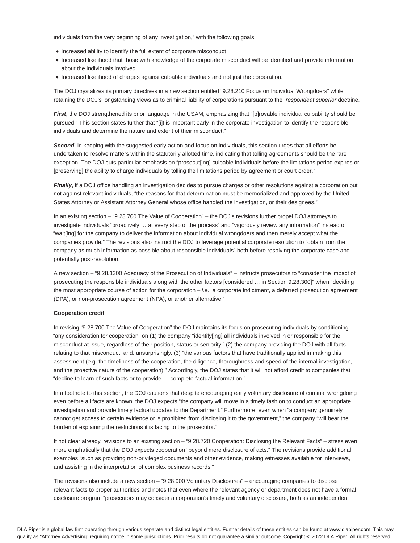individuals from the very beginning of any investigation," with the following goals:

- Increased ability to identify the full extent of corporate misconduct
- Increased likelihood that those with knowledge of the corporate misconduct will be identified and provide information about the individuals involved
- Increased likelihood of charges against culpable individuals and not just the corporation.

The DOJ crystalizes its primary directives in a new section entitled "9.28.210 Focus on Individual Wrongdoers" while retaining the DOJ's longstanding views as to criminal liability of corporations pursuant to the respondeat superior doctrine.

**First**, the DOJ strengthened its prior language in the USAM, emphasizing that "[p]rovable individual culpability should be pursued." This section states further that "[i]t is important early in the corporate investigation to identify the responsible individuals and determine the nature and extent of their misconduct."

**Second**, in keeping with the suggested early action and focus on individuals, this section urges that all efforts be undertaken to resolve matters within the statutorily allotted time, indicating that tolling agreements should be the rare exception. The DOJ puts particular emphasis on "prosecut[ing] culpable individuals before the limitations period expires or [preserving] the ability to charge individuals by tolling the limitations period by agreement or court order."

**Finally**, if a DOJ office handling an investigation decides to pursue charges or other resolutions against a corporation but not against relevant individuals, "the reasons for that determination must be memorialized and approved by the United States Attorney or Assistant Attorney General whose office handled the investigation, or their designees."

In an existing section – "9.28.700 The Value of Cooperation" – the DOJ's revisions further propel DOJ attorneys to investigate individuals "proactively … at every step of the process" and "vigorously review any information" instead of "wait[ing] for the company to deliver the information about individual wrongdoers and then merely accept what the companies provide." The revisions also instruct the DOJ to leverage potential corporate resolution to "obtain from the company as much information as possible about responsible individuals" both before resolving the corporate case and potentially post-resolution.

A new section – "9.28.1300 Adequacy of the Prosecution of Individuals" – instructs prosecutors to "consider the impact of prosecuting the responsible individuals along with the other factors [considered … in Section 9.28.300]" when "deciding the most appropriate course of action for the corporation  $-i.e.,$  a corporate indictment, a deferred prosecution agreement (DPA), or non-prosecution agreement (NPA), or another alternative."

#### **Cooperation credit**

In revising "9.28.700 The Value of Cooperation" the DOJ maintains its focus on prosecuting individuals by conditioning "any consideration for cooperation" on (1) the company "identify[ing] all individuals involved in or responsible for the misconduct at issue, regardless of their position, status or seniority," (2) the company providing the DOJ with all facts relating to that misconduct, and, unsurprisingly, (3) "the various factors that have traditionally applied in making this assessment (e.g. the timeliness of the cooperation, the diligence, thoroughness and speed of the internal investigation, and the proactive nature of the cooperation)." Accordingly, the DOJ states that it will not afford credit to companies that "decline to learn of such facts or to provide … complete factual information."

In a footnote to this section, the DOJ cautions that despite encouraging early voluntary disclosure of criminal wrongdoing even before all facts are known, the DOJ expects "the company will move in a timely fashion to conduct an appropriate investigation and provide timely factual updates to the Department." Furthermore, even when "a company genuinely cannot get access to certain evidence or is prohibited from disclosing it to the government," the company "will bear the burden of explaining the restrictions it is facing to the prosecutor."

If not clear already, revisions to an existing section – "9.28.720 Cooperation: Disclosing the Relevant Facts" – stress even more emphatically that the DOJ expects cooperation "beyond mere disclosure of acts." The revisions provide additional examples "such as providing non-privileged documents and other evidence, making witnesses available for interviews, and assisting in the interpretation of complex business records."

The revisions also include a new section – "9.28.900 Voluntary Disclosures" – encouraging companies to disclose relevant facts to proper authorities and notes that even where the relevant agency or department does not have a formal disclosure program "prosecutors may consider a corporation's timely and voluntary disclosure, both as an independent